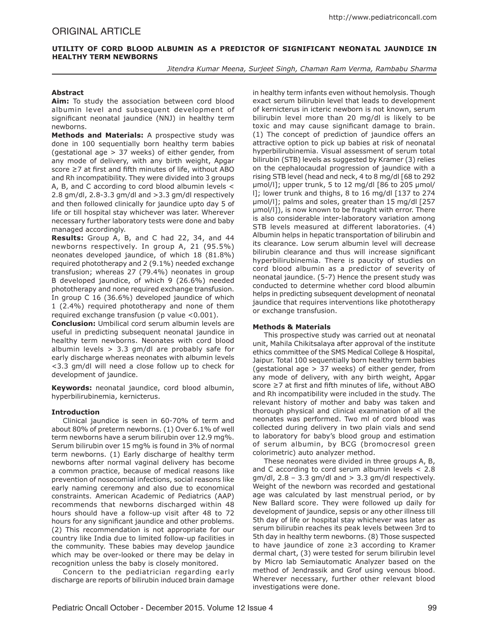# **Utility of Cord Blood Albumin as a Predictor of Significant Neonatal Jaundice in Healthy Term Newborns**

*Jitendra Kumar Meena, Surjeet Singh, Chaman Ram Verma, Rambabu Sharma*

# **Abstract**

**Aim:** To study the association between cord blood albumin level and subsequent development of significant neonatal jaundice (NNJ) in healthy term newborns.

**Methods and Materials:** A prospective study was done in 100 sequentially born healthy term babies (gestational age > 37 weeks) of either gender, from any mode of delivery, with any birth weight, Apgar score ≥7 at first and fifth minutes of life, without ABO and Rh incompatibility. They were divided into 3 groups A, B, and C according to cord blood albumin levels < 2.8 gm/dl, 2.8-3.3 gm/dl and >3.3 gm/dl respectively and then followed clinically for jaundice upto day 5 of life or till hospital stay whichever was later. Wherever necessary further laboratory tests were done and baby managed accordingly.

**Results:** Group A, B, and C had 22, 34, and 44 newborns respectively. In group A, 21 (95.5%) neonates developed jaundice, of which 18 (81.8%) required phototherapy and 2 (9.1%) needed exchange transfusion; whereas 27 (79.4%) neonates in group B developed jaundice, of which 9 (26.6%) needed phototherapy and none required exchange transfusion. In group C 16 (36.6%) developed jaundice of which 1 (2.4%) required phototherapy and none of them required exchange transfusion (p value <0.001).

**Conclusion:** Umbilical cord serum albumin levels are useful in predicting subsequent neonatal jaundice in healthy term newborns. Neonates with cord blood albumin levels  $> 3.3$  gm/dl are probably safe for early discharge whereas neonates with albumin levels <3.3 gm/dl will need a close follow up to check for development of jaundice.

**Keywords:** neonatal jaundice, cord blood albumin, hyperbilirubinemia, kernicterus.

## **Introduction**

Clinical jaundice is seen in 60-70% of term and about 80% of preterm newborns. (1) Over 6.1% of well term newborns have a serum bilirubin over 12.9 mg%. Serum bilirubin over 15 mg% is found in 3% of normal term newborns. (1) Early discharge of healthy term newborns after normal vaginal delivery has become a common practice, because of medical reasons like prevention of nosocomial infections, social reasons like early naming ceremony and also due to economical constraints. American Academic of Pediatrics (AAP) recommends that newborns discharged within 48 hours should have a follow-up visit after 48 to 72 hours for any significant jaundice and other problems. (2) This recommendation is not appropriate for our country like India due to limited follow-up facilities in the community. These babies may develop jaundice which may be over-looked or there may be delay in recognition unless the baby is closely monitored.

Concern to the pediatrician regarding early discharge are reports of bilirubin induced brain damage in healthy term infants even without hemolysis. Though exact serum bilirubin level that leads to development of kernicterus in icteric newborn is not known, serum bilirubin level more than 20 mg/dl is likely to be toxic and may cause significant damage to brain. (1) The concept of prediction of jaundice offers an attractive option to pick up babies at risk of neonatal hyperbilirubinemia. Visual assessment of serum total bilirubin (STB) levels as suggested by Kramer (3) relies on the cephalocaudal progression of jaundice with a rising STB level (head and neck, 4 to 8 mg/dl [68 to 292 µmol/l]; upper trunk, 5 to 12 mg/dl [86 to 205 µmol/ l]; lower trunk and thighs, 8 to 16 mg/dl [137 to 274 µmol/l]; palms and soles, greater than 15 mg/dl [257 µmol/l]), is now known to be fraught with error. There is also considerable inter-laboratory variation among STB levels measured at different laboratories. (4) Albumin helps in hepatic transportation of bilirubin and its clearance. Low serum albumin level will decrease bilirubin clearance and thus will increase significant hyperbilirubinemia. There is paucity of studies on cord blood albumin as a predictor of severity of neonatal jaundice. (5-7) Hence the present study was conducted to determine whether cord blood albumin helps in predicting subsequent development of neonatal jaundice that requires interventions like phototherapy or exchange transfusion.

## **Methods & Materials**

This prospective study was carried out at neonatal unit, Mahila Chikitsalaya after approval of the institute ethics committee of the SMS Medical College & Hospital, Jaipur. Total 100 sequentially born healthy term babies (gestational age > 37 weeks) of either gender, from any mode of delivery, with any birth weight, Apgar score ≥7 at first and fifth minutes of life, without ABO and Rh incompatibility were included in the study. The relevant history of mother and baby was taken and thorough physical and clinical examination of all the neonates was performed. Two ml of cord blood was collected during delivery in two plain vials and send to laboratory for baby's blood group and estimation of serum albumin, by BCG (bromocresol green colorimetric) auto analyzer method.

These neonates were divided in three groups A, B, and C according to cord serum albumin levels < 2.8  $gm/dl$ , 2.8 – 3.3 gm/dl and  $>$  3.3 gm/dl respectively. Weight of the newborn was recorded and gestational age was calculated by last menstrual period, or by New Ballard score. They were followed up daily for development of jaundice, sepsis or any other illness till 5th day of life or hospital stay whichever was later as serum bilirubin reaches its peak levels between 3rd to 5th day in healthy term newborns. (8) Those suspected to have jaundice of zone ≥3 according to Kramer dermal chart, (3) were tested for serum bilirubin level by Micro lab Semiautomatic Analyzer based on the method of Jendrassik and Grof using venous blood. Wherever necessary, further other relevant blood investigations were done.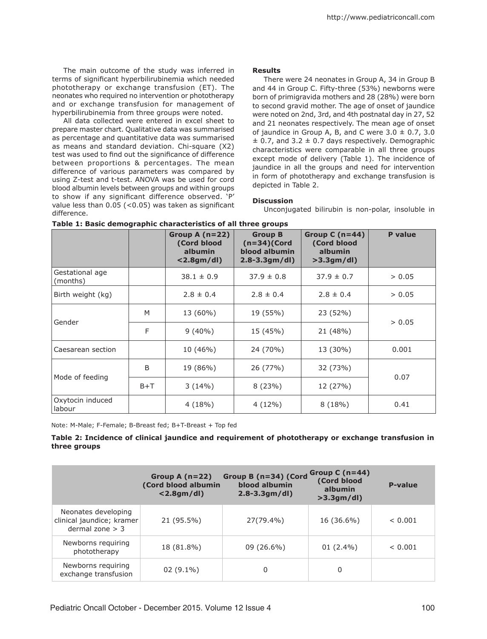The main outcome of the study was inferred in terms of significant hyperbilirubinemia which needed phototherapy or exchange transfusion (ET). The neonates who required no intervention or phototherapy and or exchange transfusion for management of hyperbilirubinemia from three groups were noted.

All data collected were entered in excel sheet to prepare master chart. Qualitative data was summarised as percentage and quantitative data was summarised as means and standard deviation. Chi-square (X2) test was used to find out the significance of difference between proportions & percentages. The mean difference of various parameters was compared by using Z-test and t-test. ANOVA was be used for cord blood albumin levels between groups and within groups to show if any significant difference observed. 'P' value less than 0.05 (<0.05) was taken as significant difference.

#### **Results**

There were 24 neonates in Group A, 34 in Group B and 44 in Group C. Fifty-three (53%) newborns were born of primigravida mothers and 28 (28%) were born to second gravid mother. The age of onset of jaundice were noted on 2nd, 3rd, and 4th postnatal day in 27, 52 and 21 neonates respectively. The mean age of onset of jaundice in Group A, B, and C were  $3.0 \pm 0.7$ ,  $3.0$  $\pm$  0.7, and 3.2  $\pm$  0.7 days respectively. Demographic characteristics were comparable in all three groups except mode of delivery (Table 1). The incidence of jaundice in all the groups and need for intervention in form of phototherapy and exchange transfusion is depicted in Table 2.

## **Discussion**

Unconjugated bilirubin is non-polar, insoluble in

|                             |       | Group A $(n=22)$<br>(Cord blood<br>albumin<br>$<$ 2.8gm/dl) | <b>Group B</b><br>$(n=34)$ (Cord<br>blood albumin<br>$2.8 - 3.3gm/dl$ | Group C $(n=44)$<br>(Cord blood<br>albumin<br>>3.3gm/dl | P value |  |
|-----------------------------|-------|-------------------------------------------------------------|-----------------------------------------------------------------------|---------------------------------------------------------|---------|--|
| Gestational age<br>(months) |       | $38.1 \pm 0.9$                                              | $37.9 \pm 0.8$                                                        | $37.9 \pm 0.7$                                          | > 0.05  |  |
| Birth weight (kg)           |       | $2.8 \pm 0.4$                                               | $2.8 \pm 0.4$                                                         | $2.8 \pm 0.4$                                           | > 0.05  |  |
| Gender                      | M     | 13 (60%)                                                    | 19 (55%)                                                              | 23 (52%)                                                | > 0.05  |  |
|                             | F     | $9(40\%)$                                                   | 15 (45%)                                                              | 21 (48%)                                                |         |  |
| Caesarean section           |       | 10 (46%)                                                    | 24 (70%)                                                              | 13 (30%)                                                | 0.001   |  |
| Mode of feeding             | B     | 19 (86%)                                                    | 26 (77%)                                                              | 32 (73%)                                                | 0.07    |  |
|                             | $B+T$ | 3(14%)                                                      | 8(23%)                                                                | 12 (27%)                                                |         |  |
| Oxytocin induced<br>labour  |       | 4(18%)                                                      | 4 (12%)                                                               | 8(18%)                                                  | 0.41    |  |

| Table 1: Basic demographic characteristics of all three groups |  |  |  |  |
|----------------------------------------------------------------|--|--|--|--|
|----------------------------------------------------------------|--|--|--|--|

Note: M-Male; F-Female; B-Breast fed; B+T-Breast + Top fed

**Table 2: Incidence of clinical jaundice and requirement of phototherapy or exchange transfusion in three groups**

|                                                                       | Group A $(n=22)$<br>(Cord blood albumin<br>$<$ 2.8gm/dl) | Group B (n=34) (Cord<br>blood albumin<br>$2.8 - 3.3gm/dl$ | Group C $(n=44)$<br>(Cord blood<br>albumin<br>$>3.3$ gm/dl) | <b>P-value</b> |
|-----------------------------------------------------------------------|----------------------------------------------------------|-----------------------------------------------------------|-------------------------------------------------------------|----------------|
| Neonates developing<br>clinical jaundice; kramer<br>dermal zone $>$ 3 | 21 (95.5%)                                               | 27(79.4%)                                                 | 16 (36.6%)                                                  | < 0.001        |
| Newborns requiring<br>phototherapy                                    | 18 (81.8%)                                               | $09(26.6\%)$                                              | $01(2.4\%)$                                                 | < 0.001        |
| Newborns requiring<br>exchange transfusion                            | $02(9.1\%)$                                              | 0                                                         | 0                                                           |                |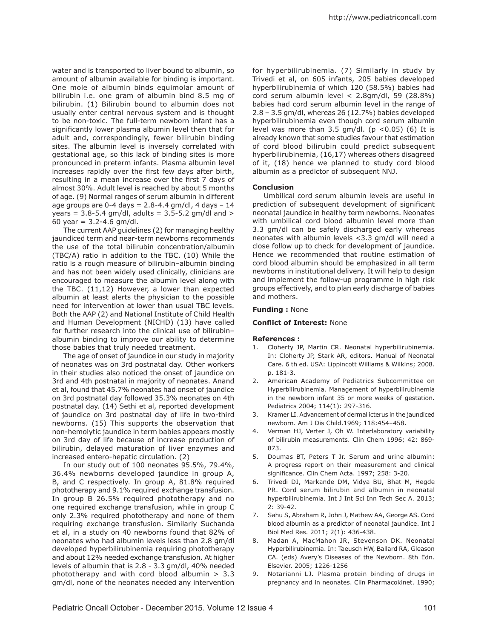water and is transported to liver bound to albumin, so amount of albumin available for binding is important. One mole of albumin binds equimolar amount of bilirubin i.e. one gram of albumin bind 8.5 mg of bilirubin. (1) Bilirubin bound to albumin does not usually enter central nervous system and is thought to be non-toxic. The full-term newborn infant has a significantly lower plasma albumin level then that for adult and, correspondingly, fewer bilirubin binding sites. The albumin level is inversely correlated with gestational age, so this lack of binding sites is more pronounced in preterm infants. Plasma albumin level increases rapidly over the first few days after birth, resulting in a mean increase over the first 7 days of almost 30%. Adult level is reached by about 5 months of age. (9) Normal ranges of serum albumin in different age groups are  $0-4$  days = 2.8-4.4 gm/dl, 4 days - 14 years =  $3.8 - 5.4$  gm/dl, adults =  $3.5 - 5.2$  gm/dl and > 60 year = 3.2-4.6 gm/dl.

The current AAP guidelines (2) for managing healthy jaundiced term and near-term newborns recommends the use of the total bilirubin concentration/albumin (TBC/A) ratio in addition to the TBC. (10) While the ratio is a rough measure of bilirubin–albumin binding and has not been widely used clinically, clinicians are encouraged to measure the albumin level along with the TBC. (11,12) However, a lower than expected albumin at least alerts the physician to the possible need for intervention at lower than usual TBC levels. Both the AAP (2) and National Institute of Child Health and Human Development (NICHD) (13) have called for further research into the clinical use of bilirubin– albumin binding to improve our ability to determine those babies that truly needed treatment.

The age of onset of jaundice in our study in majority of neonates was on 3rd postnatal day. Other workers in their studies also noticed the onset of jaundice on 3rd and 4th postnatal in majority of neonates. Anand et al, found that 45.7% neonates had onset of jaundice on 3rd postnatal day followed 35.3% neonates on 4th postnatal day. (14) Sethi et al, reported development of jaundice on 3rd postnatal day of life in two-third newborns. (15) This supports the observation that non-hemolytic jaundice in term babies appears mostly on 3rd day of life because of increase production of bilirubin, delayed maturation of liver enzymes and increased entero-hepatic circulation. (2)

In our study out of 100 neonates 95.5%, 79.4%, 36.4% newborns developed jaundice in group A, B, and C respectively. In group A, 81.8% required phototherapy and 9.1% required exchange transfusion. In group B 26.5% required phototherapy and no one required exchange transfusion, while in group C only 2.3% required phototherapy and none of them requiring exchange transfusion. Similarly Suchanda et al, in a study on 40 newborns found that 82% of neonates who had albumin levels less than 2.8 gm/dl developed hyperbilirubinemia requiring phototherapy and about 12% needed exchange transfusion. At higher levels of albumin that is 2.8 - 3.3 gm/dl, 40% needed phototherapy and with cord blood albumin > 3.3 gm/dl, none of the neonates needed any intervention

for hyperbilirubinemia. (7) Similarly in study by Trivedi et al, on 605 infants, 205 babies developed hyperbilirubinemia of which 120 (58.5%) babies had cord serum albumin level < 2.8gm/dl, 59 (28.8%) babies had cord serum albumin level in the range of 2.8 – 3.5 gm/dl, whereas 26 (12.7%) babies developed hyperbilirubinemia even though cord serum albumin level was more than 3.5 gm/dl. ( $p$  <0.05) (6) It is already known that some studies favour that estimation of cord blood bilirubin could predict subsequent hyperbilirubinemia, (16,17) whereas others disagreed of it, (18) hence we planned to study cord blood albumin as a predictor of subsequent NNJ.

### **Conclusion**

Umbilical cord serum albumin levels are useful in prediction of subsequent development of significant neonatal jaundice in healthy term newborns. Neonates with umbilical cord blood albumin level more than 3.3 gm/dl can be safely discharged early whereas neonates with albumin levels <3.3 gm/dl will need a close follow up to check for development of jaundice. Hence we recommended that routine estimation of cord blood albumin should be emphasized in all term newborns in institutional delivery. It will help to design and implement the follow-up programme in high risk groups effectively, and to plan early discharge of babies and mothers.

#### **Funding :** None

#### **Conflict of Interest:** None

#### **References :**

- Cloherty JP, Martin CR. Neonatal hyperbilirubinemia. 1. In: Cloherty JP, Stark AR, editors. Manual of Neonatal Care. 6 th ed. USA: Lippincott Williams & Wilkins; 2008. p. 181-3.
- 2. American Academy of Pediatrics Subcommittee on Hyperbilirubinemia. Management of hyperbilirubinemia in the newborn infant 35 or more weeks of gestation. Pediatrics 2004; 114(1): 297-316.
- 3. Kramer LI. Advancement of dermal icterus in the jaundiced newborn. Am J Dis Child.1969; 118:454–458.
- Verman HJ, Verter J, Oh W. Interlaboratory variability 4. of bilirubin measurements. Clin Chem 1996; 42: 869- 873.
- 5. Doumas BT, Peters T Jr. Serum and urine albumin: A progress report on their measurement and clinical significance. Clin Chem Acta. 1997; 258: 3-20.
- 6. Trivedi DJ, Markande DM, Vidya BU, Bhat M, Hegde PR. Cord serum bilirubin and albumin in neonatal hyperbilirubinemia. Int J Int Sci Inn Tech Sec A. 2013; 2: 39-42.
- 7. Sahu S, Abraham R, John J, Mathew AA, George AS. Cord blood albumin as a predictor of neonatal jaundice. Int J Biol Med Res. 2011; 2(1): 436-438.
- 8. Madan A, MacMahon JR, Stevenson DK. Neonatal Hyperbilirubinemia. In: Taeusch HW, Ballard RA, Gleason CA. (eds) Avery's Diseases of the Newborn. 8th Edn. Elsevier. 2005; 1226-1256
- 9. Notarianni LJ. Plasma protein binding of drugs in pregnancy and in neonates. Clin Pharmacokinet. 1990;